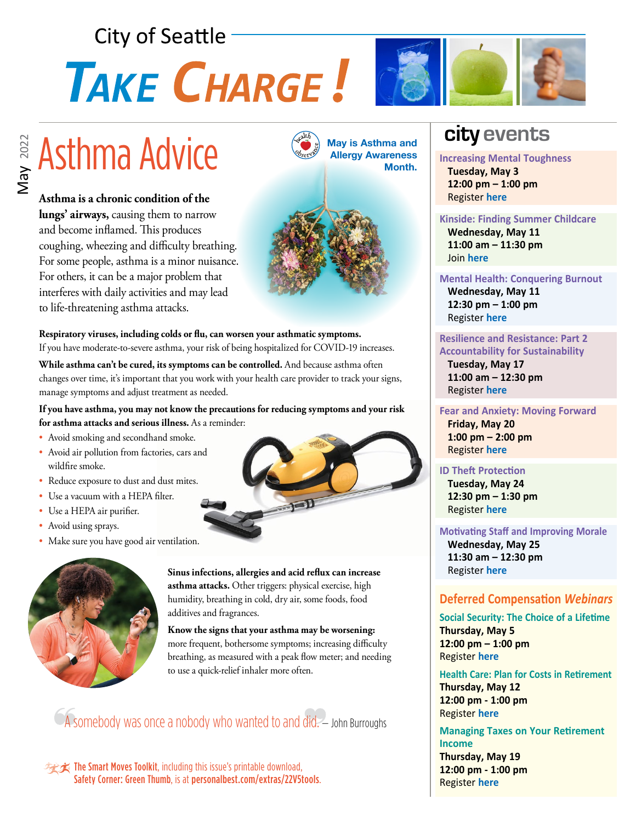# **City of Seattle** TAKE CHARGE!



**Asthma is a chronic condition of the lungs' airways,** causing them to narrow and become inflamed. This produces coughing, wheezing and difficulty breathing. For some people, asthma is a minor nuisance. For others, it can be a major problem that interferes with daily activities and may lead to life-threatening asthma attacks.



**Respiratory viruses, including colds or flu, can worsen your asthmatic symptoms.**  If you have moderate-to-severe asthma, your risk of being hospitalized for COVID-19 increases.

**While asthma can't be cured, its symptoms can be controlled.** And because asthma often changes over time, it's important that you work with your health care provider to track your signs, manage symptoms and adjust treatment as needed.

**If you have asthma, you may not know the precautions for reducing symptoms and your risk for asthma attacks and serious illness.** As a reminder:

- Avoid smoking and secondhand smoke.
- Avoid air pollution from factories, cars and wildfire smoke.
- Reduce exposure to dust and dust mites.
- Use a vacuum with a HEPA filter.
- Use a HEPA air purifier.
- Avoid using sprays.
- Make sure you have good air ventilation.





**Sinus infections, allergies and acid reflux can increase asthma attacks.** Other triggers: physical exercise, high humidity, breathing in cold, dry air, some foods, food additives and fragrances.

**Know the signs that your asthma may be worsening:**  more frequent, bothersome symptoms; increasing difficulty breathing, as measured with a peak flow meter; and needing to use a quick-relief inhaler more often.

A somebody was once a nobody who wanted to and did. - John Burroughs

**The Smart Moves Toolkit**, including this issue's printable download, Safety Corner: Green Thumb, is at [personalbest.com/extras/22V5tools](http://www.personalbest.com/extras/22V5tools).

## **city events**

**Increasing Mental Toughness Tuesday, May 3 12:00 pm – 1:00 pm** Register **[here](https://bit.ly/3K20hwz)**

### **Kinside: Finding Summer Childcare**

 **Wednesday, May 11 11:00 am – 11:30 pm** Join **[here](http://meet.google.com:idu-guoh-wjq)**

### **Mental Health: Conquering Burnout**

 **Wednesday, May 11 12:30 pm – 1:00 pm** Register **[here](https://kpevents.webex.com/kpevents/onstage/g.php?PRID=fa91564be5ffd293baf7fb32fd22f02f)**

### **Resilience and Resistance: Part 2 Accountability for Sustainability**

 **Tuesday, May 17 11:00 am – 12:30 pm** Register **[here](https://seattle.webex.com/seattle/j.php?RGID=rc1b90c4e0390cf70a12cdf30b910976b)**

### **Fear and Anxiety: Moving Forward Friday, May 20 1:00 pm – 2:00 pm** Register **[here](https://bli-meetings.webex.com/bli-meetings/j.php?RGID=ree47d41e8546b35764de1e4d299a9fa1)**

### **ID Theft Protection**

 **Tuesday, May 24 12:30 pm – 1:30 pm** Register **[here](https://zoom.us/webinar/register/6716509835897/WN_E14KRWO3Qpm7ljBHtvqOUg)**

**Motivating Staff and Improving Morale Wednesday, May 25 11:30 am – 12:30 pm** Register **[here](https://mylifevalues.webex.com/mylifevalues/k2/j.php?MTID=t1a02866eab69559ae1fd4f2a7f031cfb)**

### **Deferred Compensation** *Webinars*

**Social Security: The Choice of a Lifetime Thursday, May 5 12:00 pm – 1:00 pm** Register **[here](https://bit.ly/Choiceofalifetime)**

**Health Care: Plan for Costs in Retirement Thursday, May 12 12:00 pm - 1:00 pm** Register **[here](https://bit.ly/HCRSeattle)**

**Managing Taxes on Your Retirement Income Thursday, May 19**

**12:00 pm - 1:00 pm** Register **[here](https://bit.ly/Taxesretirementincome)**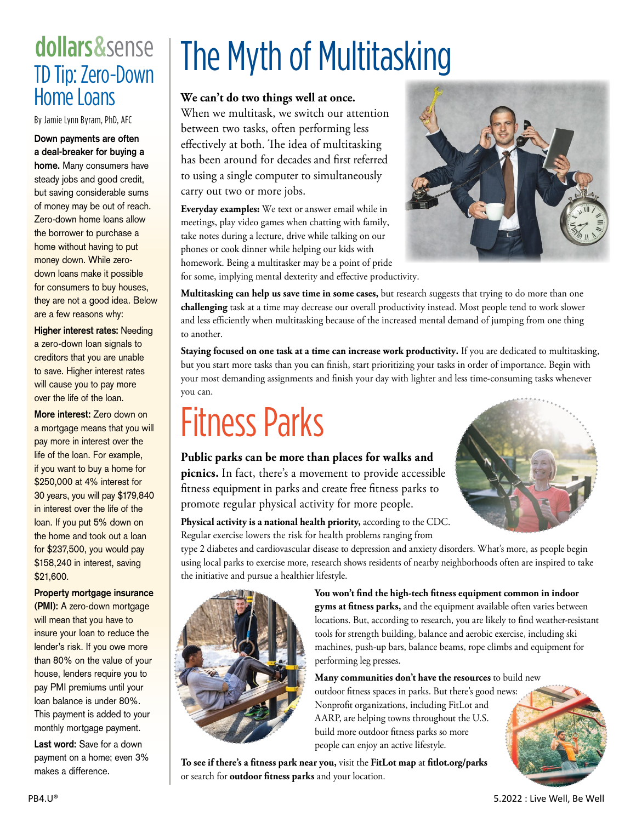## dollars& sense TD Tip: Zero-Down Home Loans

By Jamie Lynn Byram, PhD, AFC

**Down payments are often a deal-breaker for buying a home.** Many consumers have steady jobs and good credit, but saving considerable sums of money may be out of reach. Zero-down home loans allow the borrower to purchase a home without having to put money down. While zerodown loans make it possible for consumers to buy houses, they are not a good idea. Below are a few reasons why:

**Higher interest rates:** Needing a zero-down loan signals to creditors that you are unable to save. Higher interest rates will cause you to pay more over the life of the loan.

**More interest:** Zero down on a mortgage means that you will pay more in interest over the life of the loan. For example, if you want to buy a home for \$250,000 at 4% interest for 30 years, you will pay \$179,840 in interest over the life of the loan. If you put 5% down on the home and took out a loan for \$237,500, you would pay \$158,240 in interest, saving \$21,600.

**Property mortgage insurance** 

**(PMI):** A zero-down mortgage will mean that you have to insure your loan to reduce the lender's risk. If you owe more than 80% on the value of your house, lenders require you to pay PMI premiums until your loan balance is under 80%. This payment is added to your monthly mortgage payment.

**Last word:** Save for a down payment on a home; even 3% makes a difference.

# The Myth of Multitasking

**We can't do two things well at once.**

When we multitask, we switch our attention between two tasks, often performing less effectively at both. The idea of multitasking has been around for decades and first referred to using a single computer to simultaneously carry out two or more jobs.

**Everyday examples:** We text or answer email while in meetings, play video games when chatting with family, take notes during a lecture, drive while talking on our phones or cook dinner while helping our kids with homework. Being a multitasker may be a point of pride



for some, implying mental dexterity and effective productivity.

**Multitasking can help us save time in some cases,** but research suggests that trying to do more than one **challenging** task at a time may decrease our overall productivity instead. Most people tend to work slower and less efficiently when multitasking because of the increased mental demand of jumping from one thing to another.

**Staying focused on one task at a time can increase work productivity.** If you are dedicated to multitasking, but you start more tasks than you can finish, start prioritizing your tasks in order of importance. Begin with your most demanding assignments and finish your day with lighter and less time-consuming tasks whenever you can.

## Fitness Parks

### **Public parks can be more than places for walks and picnics.** In fact, there's a movement to provide accessible

fitness equipment in parks and create free fitness parks to promote regular physical activity for more people.

**Physical activity is a national health priority,** according to the CDC. Regular exercise lowers the risk for health problems ranging from

type 2 diabetes and cardiovascular disease to depression and anxiety disorders. What's more, as people begin using local parks to exercise more, research shows residents of nearby neighborhoods often are inspired to take the initiative and pursue a healthier lifestyle.



**You won't find the high-tech fitness equipment common in indoor gyms at fitness parks,** and the equipment available often varies between locations. But, according to research, you are likely to find weather-resistant tools for strength building, balance and aerobic exercise, including ski machines, push-up bars, balance beams, rope climbs and equipment for performing leg presses.

**Many communities don't have the resources** to build new outdoor fitness spaces in parks. But there's good news: Nonprofit organizations, including FitLot and AARP, are helping towns throughout the U.S. build more outdoor fitness parks so more people can enjoy an active lifestyle.

**To see if there's a fitness park near you,** visit the **FitLot map** at **[fitlot.org/parks](http://www.fitlot.org/parks)** or search for **outdoor fitness parks** and your location.

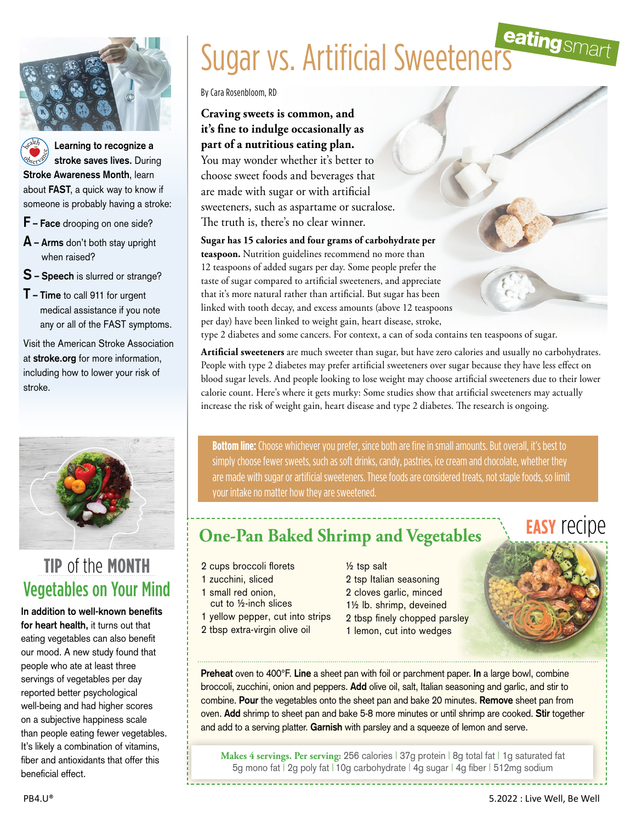

**Learning to recognize a stroke saves lives.** During **Stroke Awareness Month**, learn about **FAST**, a quick way to know if someone is probably having a stroke: <sup>h</sup>ealt<sup>h</sup> **Observance** 

- **F Face** drooping on one side?
- **A Arms** don't both stay upright when raised?
- **S Speech** is slurred or strange?
- **T Time** to call 911 for urgent medical assistance if you note any or all of the FAST symptoms.

Visit the American Stroke Association at **[stroke.org](http://www.stroke.org)** for more information, including how to lower your risk of stroke.



### Vegetables on Your Mind **tip** of the **month**

**In addition to well-known benefits for heart health,** it turns out that eating vegetables can also benefit our mood. A new study found that people who ate at least three servings of vegetables per day reported better psychological well-being and had higher scores on a subjective happiness scale than people eating fewer vegetables. It's likely a combination of vitamins, fiber and antioxidants that offer this beneficial effect.

# Sugar vs. Artificial Sweeteners

By Cara Rosenbloom, RD

### **Craving sweets is common, and it's fine to indulge occasionally as part of a nutritious eating plan.**

You may wonder whether it's better to choose sweet foods and beverages that are made with sugar or with artificial sweeteners, such as aspartame or sucralose. The truth is, there's no clear winner.

**Sugar has 15 calories and four grams of carbohydrate per teaspoon.** Nutrition guidelines recommend no more than 12 teaspoons of added sugars per day. Some people prefer the taste of sugar compared to artificial sweeteners, and appreciate that it's more natural rather than artificial. But sugar has been linked with tooth decay, and excess amounts (above 12 teaspoons per day) have been linked to weight gain, heart disease, stroke, type 2 diabetes and some cancers. For context, a can of soda contains ten teaspoons of sugar.

**Artificial sweeteners** are much sweeter than sugar, but have zero calories and usually no carbohydrates. People with type 2 diabetes may prefer artificial sweeteners over sugar because they have less effect on blood sugar levels. And people looking to lose weight may choose artificial sweeteners due to their lower calorie count. Here's where it gets murky: Some studies show that artificial sweeteners may actually increase the risk of weight gain, heart disease and type 2 diabetes. The research is ongoing.

**Bottom line:** Choose whichever you prefer, since both are fine in small amounts. But overall, it's best to simply choose fewer sweets, such as soft drinks, candy, pastries, ice cream and chocolate, whether they are made with sugar or artificial sweeteners. These foods are considered treats, not staple foods, so limit your intake no matter how they are sweetened.

## **One-Pan Baked Shrimp and Vegetables**

- 2 cups broccoli florets
- 1 zucchini, sliced
- 1 small red onion.
	- cut to ½-inch slices
- 1 yellow pepper, cut into strips
- 2 tbsp extra-virgin olive oil

½ tsp salt 2 tsp Italian seasoning 2 cloves garlic, minced 1½ lb. shrimp, deveined 2 tbsp finely chopped parsley 1 lemon, cut into wedges

## **easy** recipe



**Preheat** oven to 400°F. **Line** a sheet pan with foil or parchment paper. **In** a large bowl, combine broccoli, zucchini, onion and peppers. **Add** olive oil, salt, Italian seasoning and garlic, and stir to combine. **Pour** the vegetables onto the sheet pan and bake 20 minutes. **Remove** sheet pan from oven. **Add** shrimp to sheet pan and bake 5-8 more minutes or until shrimp are cooked. **Stir** together and add to a serving platter. **Garnish** with parsley and a squeeze of lemon and serve.

**Makes 4 servings. Per serving:** 256 calories | 37g protein | 8g total fat | 1g saturated fat 5g mono fat | 2g poly fat | 10g carbohydrate | 4g sugar | 4g fiber | 512mg sodium